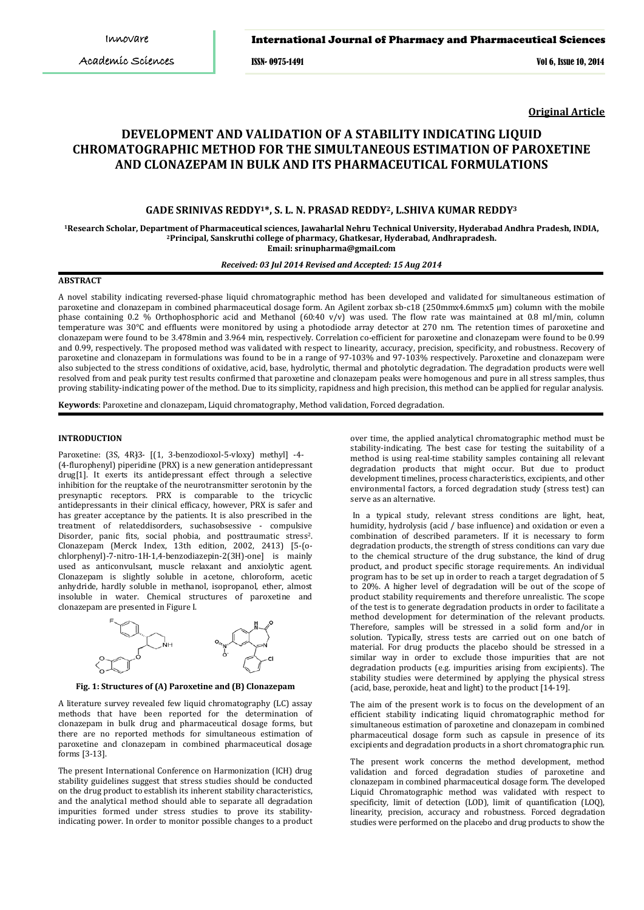#### International Journal of Pharmacy and Pharmaceutical Sciences

ISSN- 0975-1491 Vol 6, Issue 10, 2014

**Original Article**

# **DEVELOPMENT AND VALIDATION OF A STABILITY INDICATING LIQUID CHROMATOGRAPHIC METHOD FOR THE SIMULTANEOUS ESTIMATION OF PAROXETINE AND CLONAZEPAM IN BULK AND ITS PHARMACEUTICAL FORMULATIONS**

# **GADE SRINIVAS REDDY1\*, S. L. N. PRASAD REDDY2, L.SHIVA KUMAR REDDY<sup>3</sup>**

**<sup>1</sup>Research Scholar, Department of Pharmaceutical sciences, Jawaharlal Nehru Technical University, Hyderabad Andhra Pradesh, INDIA, <sup>2</sup>Principal, Sanskruthi college of pharmacy, Ghatkesar, Hyderabad, Andhrapradesh. Email: [srinupharma@gmail.com](mailto:srinupharma@gmail.com)**

### *Received: 03 Jul 2014 Revised and Accepted: 15 Aug 2014*

### **ABSTRACT**

A novel stability indicating reversed-phase liquid chromatographic method has been developed and validated for simultaneous estimation of paroxetine and clonazepam in combined pharmaceutical dosage form. An Agilent zorbax sb-c18 (250mmx4.6mmx5 µm) column with the mobile phase containing 0.2 % Orthophosphoric acid and Methanol (60:40 v/v) was used. The flow rate was maintained at 0.8 ml/min, column temperature was 30°C and effluents were monitored by using a photodiode array detector at 270 nm. The retention times of paroxetine and clonazepam were found to be 3.478min and 3.964 min, respectively. Correlation co-efficient for paroxetine and clonazepam were found to be 0.99 and 0.99, respectively. The proposed method was validated with respect to linearity, accuracy, precision, specificity, and robustness. Recovery of paroxetine and clonazepam in formulations was found to be in a range of 97-103% and 97-103% respectively. Paroxetine and clonazepam were also subjected to the stress conditions of oxidative, acid, base, hydrolytic, thermal and photolytic degradation. The degradation products were well resolved from and peak purity test results confirmed that paroxetine and clonazepam peaks were homogenous and pure in all stress samples, thus proving stability-indicating power of the method. Due to its simplicity, rapidness and high precision, this method can be applied for regular analysis.

**Keywords**: Paroxetine and clonazepam, Liquid chromatography, Method validation, Forced degradation.

### **INTRODUCTION**

Paroxetine: (3S, 4R) 3- [(1, 3-benzodioxol-5-vloxy) methyl] -4-(4-flurophenyl) piperidine (PRX) is a new generation antidepressant drug[1]. It exerts its antidepressant effect through a selective inhibition for the reuptake of the neurotransmitter serotonin by the presynaptic receptors. PRX is comparable to the tricyclic antidepressants in their clinical efficacy, however, PRX is safer and has greater acceptance by the patients. It is also prescribed in the treatment of relateddisorders, suchasobsessive - compulsive Disorder, panic fits, social phobia, and posttraumatic stress<sup>2</sup>. Clonazepam (Merck Index, 13th edition, 2002, 2413) [5-(ochlorphenyl)-7-nitro-1H-1,4-benzodiazepin-2(3H)-one] is mainly used as anticonvulsant, muscle relaxant and anxiolytic agent. Clonazepam is slightly soluble in acetone, chloroform, acetic anhydride, hardly soluble in methanol, isopropanol, ether, almost insoluble in water. Chemical structures of paroxetine and clonazepam are presented in Figure I.



**Fig. 1: Structures of (A) Paroxetine and (B) Clonazepam**

A literature survey revealed few liquid chromatography (LC) assay methods that have been reported for the determination of clonazepam in bulk drug and pharmaceutical dosage forms, but there are no reported methods for simultaneous estimation of paroxetine and clonazepam in combined pharmaceutical dosage forms [3-13].

The present International Conference on Harmonization (ICH) drug stability guidelines suggest that stress studies should be conducted on the drug product to establish its inherent stability characteristics, and the analytical method should able to separate all degradation impurities formed under stress studies to prove its stabilityindicating power. In order to monitor possible changes to a product

over time, the applied analytical chromatographic method must be stability-indicating. The best case for testing the suitability of a method is using real-time stability samples containing all relevant degradation products that might occur. But due to product development timelines, process characteristics, excipients, and other environmental factors, a forced degradation study (stress test) can serve as an alternative.

In a typical study, relevant stress conditions are light, heat, humidity, hydrolysis (acid / base influence) and oxidation or even a combination of described parameters. If it is necessary to form degradation products, the strength of stress conditions can vary due to the chemical structure of the drug substance, the kind of drug product, and product specific storage requirements. An individual program has to be set up in order to reach a target degradation of 5 to 20%. A higher level of degradation will be out of the scope of product stability requirements and therefore unrealistic. The scope of the test is to generate degradation products in order to facilitate a method development for determination of the relevant products. Therefore, samples will be stressed in a solid form and/or in solution. Typically, stress tests are carried out on one batch of material. For drug products the placebo should be stressed in a similar way in order to exclude those impurities that are not degradation products (e.g. impurities arising from excipients). The stability studies were determined by applying the physical stress (acid, base, peroxide, heat and light) to the product [14-19].

The aim of the present work is to focus on the development of an efficient stability indicating liquid chromatographic method for simultaneous estimation of paroxetine and clonazepam in combined pharmaceutical dosage form such as capsule in presence of its excipients and degradation products in a short chromatographic run.

The present work concerns the method development, method validation and forced degradation studies of paroxetine and clonazepam in combined pharmaceutical dosage form. The developed Liquid Chromatographic method was validated with respect to specificity, limit of detection (LOD), limit of quantification (LOQ), linearity, precision, accuracy and robustness. Forced degradation studies were performed on the placebo and drug products to show the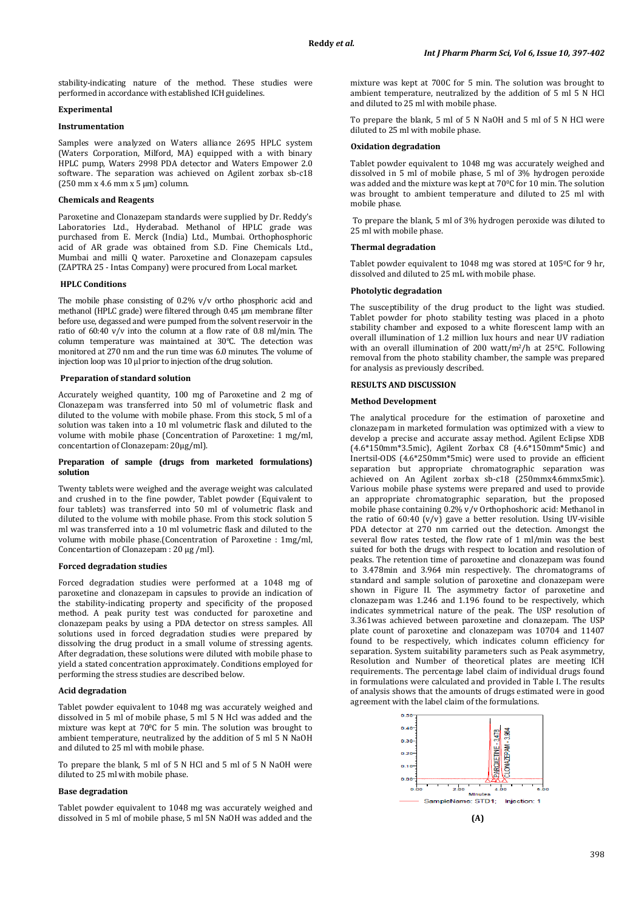stability-indicating nature of the method. These studies were performed in accordance with established ICH guidelines.

# **Experimental**

### **Instrumentation**

Samples were analyzed on Waters alliance 2695 HPLC system (Waters Corporation, Milford, MA) equipped with a with binary HPLC pump, Waters 2998 PDA detector and Waters Empower 2.0 software. The separation was achieved on Agilent zorbax sb-c18  $(250$  mm x 4.6 mm x 5  $\mu$ m) column.

#### **Chemicals and Reagents**

Paroxetine and Clonazepam standards were supplied by Dr. Reddy's Laboratories Ltd., Hyderabad. Methanol of HPLC grade was purchased from E. Merck (India) Ltd., Mumbai. Orthophosphoric acid of AR grade was obtained from S.D. Fine Chemicals Ltd., Mumbai and milli Q water. Paroxetine and Clonazepam capsules (ZAPTRA 25 - Intas Company) were procured from Local market.

#### **HPLC Conditions**

The mobile phase consisting of 0.2% v/v ortho phosphoric acid and methanol (HPLC grade) were filtered through 0.45 µm membrane filter before use, degassed and were pumped from the solvent reservoir in the ratio of  $60:40$  v/v into the column at a flow rate of 0.8 ml/min. The column temperature was maintained at 30°C. The detection was monitored at 270 nm and the run time was 6.0 minutes. The volume of injection loop was 10 µl prior to injection of the drug solution.

### **Preparation of standard solution**

Accurately weighed quantity, 100 mg of Paroxetine and 2 mg of Clonazepam was transferred into 50 ml of volumetric flask and diluted to the volume with mobile phase. From this stock, 5 ml of a solution was taken into a 10 ml volumetric flask and diluted to the volume with mobile phase (Concentration of Paroxetine: 1 mg/ml, concentartion of Clonazepam: 20µg/ml).

#### **Preparation of sample (drugs from marketed formulations) solution**

Twenty tablets were weighed and the average weight was calculated and crushed in to the fine powder, Tablet powder (Equivalent to four tablets) was transferred into 50 ml of volumetric flask and diluted to the volume with mobile phase. From this stock solution 5 ml was transferred into a 10 ml volumetric flask and diluted to the volume with mobile phase.(Concentration of Paroxetine : 1mg/ml, Concentartion of Clonazepam : 20 µg /ml).

#### **Forced degradation studies**

Forced degradation studies were performed at a 1048 mg of paroxetine and clonazepam in capsules to provide an indication of the stability-indicating property and specificity of the proposed method. A peak purity test was conducted for paroxetine and clonazepam peaks by using a PDA detector on stress samples. All solutions used in forced degradation studies were prepared by dissolving the drug product in a small volume of stressing agents. After degradation, these solutions were diluted with mobile phase to yield a stated concentration approximately. Conditions employed for performing the stress studies are described below.

### **Acid degradation**

Tablet powder equivalent to 1048 mg was accurately weighed and dissolved in 5 ml of mobile phase, 5 ml 5 N Hcl was added and the mixture was kept at 700 C for 5 min. The solution was brought to ambient temperature, neutralized by the addition of 5 ml 5 N NaOH and diluted to 25 ml with mobile phase.

To prepare the blank, 5 ml of 5 N HCl and 5 ml of 5 N NaOH were diluted to 25 ml with mobile phase.

### **Base degradation**

Tablet powder equivalent to 1048 mg was accurately weighed and dissolved in 5 ml of mobile phase, 5 ml 5N NaOH was added and the mixture was kept at 700C for 5 min. The solution was brought to ambient temperature, neutralized by the addition of 5 ml 5 N HCl and diluted to 25 ml with mobile phase.

To prepare the blank, 5 ml of 5 N NaOH and 5 ml of 5 N HCl were diluted to 25 ml with mobile phase.

#### **Oxidation degradation**

Tablet powder equivalent to 1048 mg was accurately weighed and dissolved in 5 ml of mobile phase, 5 ml of 3% hydrogen peroxide was added and the mixture was kept at 700 C for 10 min. The solution was brought to ambient temperature and diluted to 25 ml with mobile phase.

To prepare the blank, 5 ml of 3% hydrogen peroxide was diluted to 25 ml with mobile phase.

#### **Thermal degradation**

Tablet powder equivalent to 1048 mg was stored at 1050 C for 9 hr, dissolved and diluted to 25 mL with mobile phase.

#### **Photolytic degradation**

The susceptibility of the drug product to the light was studied. Tablet powder for photo stability testing was placed in a photo stability chamber and exposed to a white florescent lamp with an overall illumination of 1.2 million lux hours and near UV radiation with an overall illumination of 200 watt/m<sup>2</sup>/h at 25°C. Following removal from the photo stability chamber, the sample was prepared for analysis as previously described.

# **RESULTS AND DISCUSSION**

#### **Method Development**

The analytical procedure for the estimation of paroxetine and clonazepam in marketed formulation was optimized with a view to develop a precise and accurate assay method. Agilent Eclipse XDB (4.6\*150mm\*3.5mic), Agilent Zorbax C8 (4.6\*150mm\*5mic) and Inertsil-ODS (4.6\*250mm\*5mic) were used to provide an efficient separation but appropriate chromatographic separation was achieved on An Agilent zorbax sb-c18 (250mmx4.6mmx5mic). Various mobile phase systems were prepared and used to provide an appropriate chromatographic separation, but the proposed mobile phase containing 0.2% v/v Orthophoshoric acid: Methanol in the ratio of 60:40 (v/v) gave a better resolution. Using UV-visible PDA detector at 270 nm carried out the detection. Amongst the several flow rates tested, the flow rate of 1 ml/min was the best suited for both the drugs with respect to location and resolution of peaks. The retention time of paroxetine and clonazepam was found to 3.478min and 3.964 min respectively. The chromatograms of standard and sample solution of paroxetine and clonazepam were shown in Figure II. The asymmetry factor of paroxetine and clonazepam was 1.246 and 1.196 found to be respectively, which indicates symmetrical nature of the peak. The USP resolution of 3.361was achieved between paroxetine and clonazepam. The USP plate count of paroxetine and clonazepam was 10704 and 11407 found to be respectively, which indicates column efficiency for separation. System suitability parameters such as Peak asymmetry, Resolution and Number of theoretical plates are meeting ICH requirements. The percentage label claim of individual drugs found in formulations were calculated and provided in Table I. The results of analysis shows that the amounts of drugs estimated were in good agreement with the label claim of the formulations.

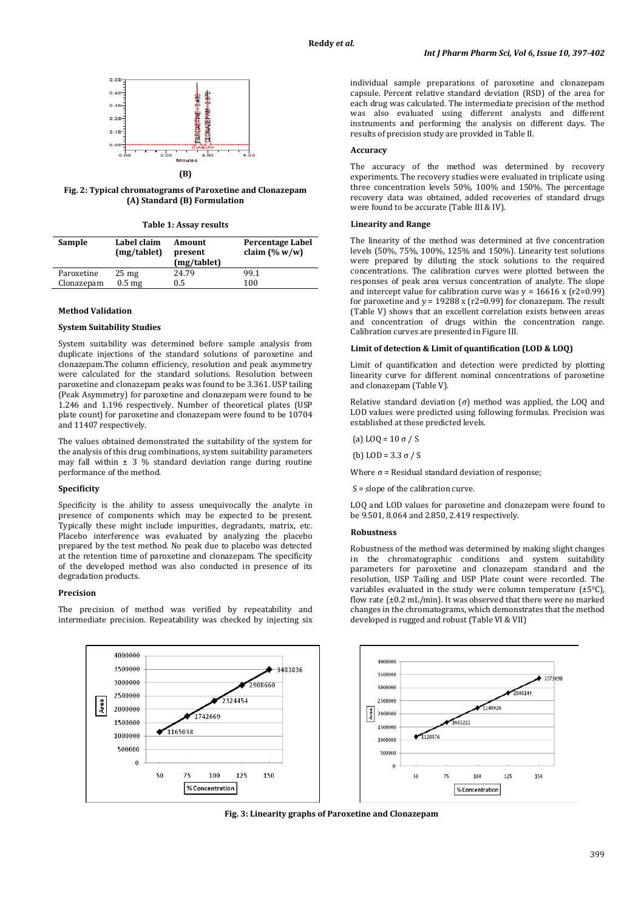

# **(B)**

**Fig. 2: Typical chromatograms of Paroxetine and Clonazepam (A) Standard (B) Formulation**

|  |  |  | Table 1: Assay results |
|--|--|--|------------------------|
|--|--|--|------------------------|

| Sample     | Label claim<br>(mg/tablet) | Amount<br>present<br>(mg/tablet) | Percentage Label<br>claim $(\% w/w)$ |
|------------|----------------------------|----------------------------------|--------------------------------------|
| Paroxetine | $25 \text{ mg}$            | 24.79                            | 99.1                                 |
| Clonazepam | 0.5 <sub>mg</sub>          | $0.5\,$                          | 100                                  |

### **Method Validation**

### **System Suitability Studies**

System suitability was determined before sample analysis from duplicate injections of the standard solutions of paroxetine and clonazepam.The column efficiency, resolution and peak asymmetry were calculated for the standard solutions. Resolution between paroxetine and clonazepam peaks was found to be 3.361. USP tailing (Peak Asymmetry) for paroxetine and clonazepam were found to be 1.246 and 1.196 respectively. Number of theoretical plates (USP plate count) for paroxetine and clonazepam were found to be 10704 and 11407 respectively.

The values obtained demonstrated the suitability of the system for the analysis of this drug combinations, system suitability parameters may fall within  $\pm$  3 % standard deviation range during routine performance of the method.

# **Specificity**

Specificity is the ability to assess unequivocally the analyte in presence of components which may be expected to be present. Typically these might include impurities, degradants, matrix, etc. Placebo interference was evaluated by analyzing the placebo prepared by the test method. No peak due to placebo was detected at the retention time of paroxetine and clonazepam. The specificity of the developed method was also conducted in presence of its degradation products.

#### **Precision**

The precision of method was verified by repeatability and intermediate precision. Repeatability was checked by injecting six individual sample preparations of paroxetine and clonazepam capsule. Percent relative standard deviation (RSD) of the area for each drug was calculated. The intermediate precision of the method was also evaluated using different analysts and different instruments and performing the analysis on different days. The results of precision study are provided in Table II.

### **Accuracy**

The accuracy of the method was determined by recovery experiments. The recovery studies were evaluated in triplicate using three concentration levels 50%, 100% and 150%. The percentage recovery data was obtained, added recoveries of standard drugs were found to be accurate (Table III & IV).

### **Linearity and Range**

The linearity of the method was determined at five concentration levels (50%, 75%, 100%, 125% and 150%). Linearity test solutions were prepared by diluting the stock solutions to the required concentrations. The calibration curves were plotted between the responses of peak area versus concentration of analyte. The slope and intercept value for calibration curve was  $y = 16616 \times (r2=0.99)$ for paroxetine and  $y = 19288$  x (r2=0.99) for clonazepam. The result (Table V) shows that an excellent correlation exists between areas and concentration of drugs within the concentration range. Calibration curves are presented in Figure III.

#### **Limit of detection & Limit of quantification (LOD & LOQ)**

Limit of quantification and detection were predicted by plotting linearity curve for different nominal concentrations of paroxetine and clonazepam (Table V).

Relative standard deviation (σ) method was applied, the LOQ and LOD values were predicted using following formulas. Precision was established at these predicted levels.

(a) LOQ = 10 σ / S

(b) LOD = 3.3 σ / S

Where  $\sigma$  = Residual standard deviation of response;

S = slope of the calibration curve.

LOQ and LOD values for paroxetine and clonazepam were found to be 9.501, 8.064 and 2.850, 2.419 respectively.

#### **Robustness**

Robustness of the method was determined by making slight changes in the chromatographic conditions and system suitability parameters for paroxetine and clonazepam standard and the resolution, USP Tailing and USP Plate count were recorded. The variables evaluated in the study were column temperature  $(\pm 5^{\circ}C)$ , flow rate (±0.2 mL/min). It was observed that there were no marked changes in the chromatograms, which demonstrates that the method developed is rugged and robust (Table VI & VII)



**Fig. 3: Linearity graphs of Paroxetine and Clonazepam**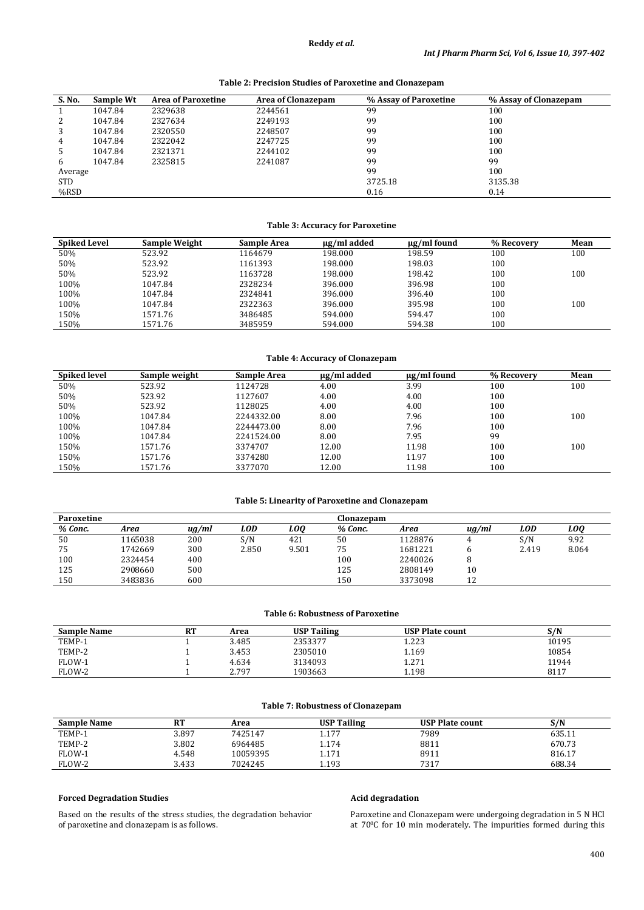```
Table 2: Precision Studies of Paroxetine and Clonazepam
```

| S. No.     | Sample Wt | <b>Area of Paroxetine</b> | <b>Area of Clonazepam</b> | % Assay of Paroxetine | % Assay of Clonazepam |
|------------|-----------|---------------------------|---------------------------|-----------------------|-----------------------|
|            | 1047.84   | 2329638                   | 2244561                   | 99                    | 100                   |
| 2          | 1047.84   | 2327634                   | 2249193                   | 99                    | 100                   |
| 3          | 1047.84   | 2320550                   | 2248507                   | 99                    | 100                   |
| 4          | 1047.84   | 2322042                   | 2247725                   | 99                    | 100                   |
| 5          | 1047.84   | 2321371                   | 2244102                   | 99                    | 100                   |
| 6          | 1047.84   | 2325815                   | 2241087                   | 99                    | 99                    |
| Average    |           |                           |                           | 99                    | 100                   |
| <b>STD</b> |           |                           |                           | 3725.18               | 3135.38               |
| %RSD       |           |                           |                           | 0.16                  | 0.14                  |

# **Table 3: Accuracy for Paroxetine**

| <b>Spiked Level</b> | <b>Sample Weight</b> | Sample Area | ug/ml added | $\mu$ g/ml found | % Recovery | Mean |
|---------------------|----------------------|-------------|-------------|------------------|------------|------|
| 50%                 | 523.92               | 1164679     | 198.000     | 198.59           | 100        | 100  |
| 50%                 | 523.92               | 1161393     | 198.000     | 198.03           | 100        |      |
| 50%                 | 523.92               | 1163728     | 198.000     | 198.42           | 100        | 100  |
| 100%                | 1047.84              | 2328234     | 396.000     | 396.98           | 100        |      |
| 100%                | 1047.84              | 2324841     | 396.000     | 396.40           | 100        |      |
| 100%                | 1047.84              | 2322363     | 396.000     | 395.98           | 100        | 100  |
| 150%                | 1571.76              | 3486485     | 594.000     | 594.47           | 100        |      |
| 150%                | 1571.76              | 3485959     | 594.000     | 594.38           | 100        |      |

# **Table 4: Accuracy of Clonazepam**

| <b>Spiked level</b> | Sample weight | <b>Sample Area</b> | µg/ml added | $\mu$ g/ml found | % Recovery | Mean |
|---------------------|---------------|--------------------|-------------|------------------|------------|------|
| 50%                 | 523.92        | 1124728            | 4.00        | 3.99             | 100        | 100  |
| 50%                 | 523.92        | 1127607            | 4.00        | 4.00             | 100        |      |
| 50%                 | 523.92        | 1128025            | 4.00        | 4.00             | 100        |      |
| 100%                | 1047.84       | 2244332.00         | 8.00        | 7.96             | 100        | 100  |
| 100%                | 1047.84       | 2244473.00         | 8.00        | 7.96             | 100        |      |
| 100%                | 1047.84       | 2241524.00         | 8.00        | 7.95             | 99         |      |
| 150%                | 1571.76       | 3374707            | 12.00       | 11.98            | 100        | 100  |
| 150%                | 1571.76       | 3374280            | 12.00       | 11.97            | 100        |      |
| 150%                | 1571.76       | 3377070            | 12.00       | 11.98            | 100        |      |

# **Table 5: Linearity of Paroxetine and Clonazepam**

| Paroxetine |         |            |            |       | Clonazepam |         |       |            |       |
|------------|---------|------------|------------|-------|------------|---------|-------|------------|-------|
| % Conc.    | Area    | $\mu g/ml$ | <b>LOD</b> | LOO   | % Conc.    | Area    | uq/ml | <b>LOD</b> | LOO   |
| 50         | 165038  | 200        | S/N        | 421   | 50         | 1128876 |       | S/N        | 9.92  |
| 75         | 1742669 | 300        | 2.850      | 9.501 | 75         | 1681221 |       | 2.419      | 8.064 |
| 100        | 2324454 | 400        |            |       | 100        | 2240026 |       |            |       |
| 125        | 2908660 | 500        |            |       | 125        | 2808149 | 10    |            |       |
| 150        | 3483836 | 600        |            |       | 150        | 3373098 | 12    |            |       |

### **Table 6: Robustness of Paroxetine**

| <b>Sample Name</b> | <b>RT</b> | Area  | <b>USP Tailing</b> | <b>USP Plate count</b> | S/N   |
|--------------------|-----------|-------|--------------------|------------------------|-------|
| TEMP-1             |           | 3.485 | 2353377            | 1.223                  | 10195 |
| TEMP-2             |           | 3.453 | 2305010            | 1.169                  | 10854 |
| FLOW-1             |           | 4.634 | 3134093            | 1.271                  | 11944 |
| FLOW-2             |           | 2.797 | 1903663            | 1.198                  | 8117  |

### **Table 7: Robustness of Clonazepam**

| <b>Sample Name</b> | DТ<br>n. | Area     | <b>USP Tailing</b> | <b>USP Plate count</b> | S/N    |
|--------------------|----------|----------|--------------------|------------------------|--------|
| TEMP-1             | 3.897    | 7425147  | $1.17-7$           | 7989                   | 635.11 |
| TEMP-2             | 3.802    | 6964485  | 1.174              | 8811                   | 670.73 |
| FLOW-1             | 4.548    | 10059395 | 1.171              | 8911                   | 816.17 |
| FLOW-2             | 3.433    | 7024245  | 1.193              | 7317                   | 688.34 |

# **Forced Degradation Studies**

Based on the results of the stress studies, the degradation behavior of paroxetine and clonazepam is as follows.

# **Acid degradation**

Paroxetine and Clonazepam were undergoing degradation in 5 N HCl at 700C for 10 min moderately. The impurities formed during this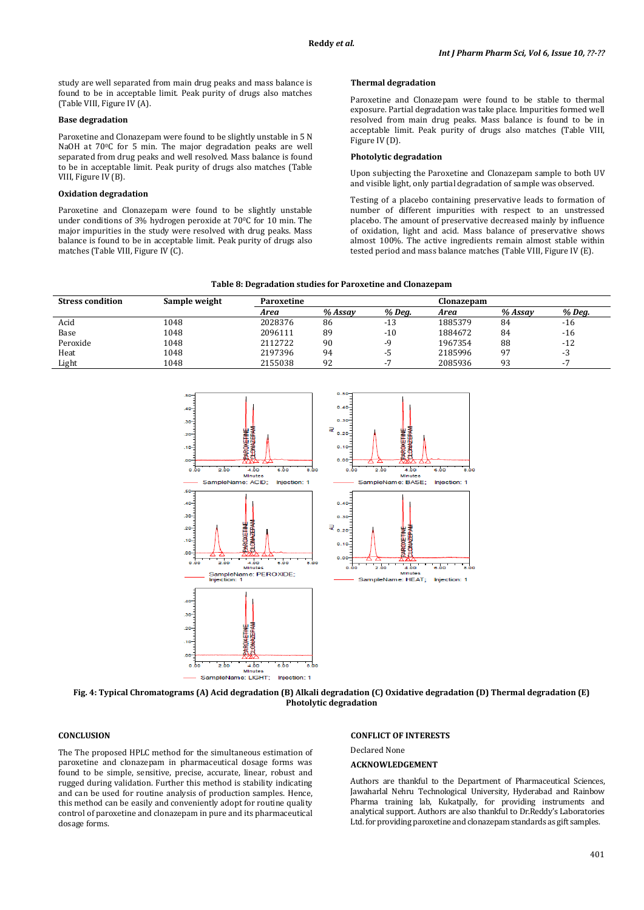study are well separated from main drug peaks and mass balance is found to be in acceptable limit. Peak purity of drugs also matches (Table VIII, Figure IV (A).

#### **Base degradation**

Paroxetine and Clonazepam were found to be slightly unstable in 5 N NaOH at 70°C for 5 min. The major degradation peaks are well separated from drug peaks and well resolved. Mass balance is found to be in acceptable limit. Peak purity of drugs also matches (Table VIII, Figure IV (B).

### **Oxidation degradation**

Paroxetine and Clonazepam were found to be slightly unstable under conditions of 3% hydrogen peroxide at 70°C for 10 min. The major impurities in the study were resolved with drug peaks. Mass balance is found to be in acceptable limit. Peak purity of drugs also matches (Table VIII, Figure IV (C).

### **Thermal degradation**

Paroxetine and Clonazepam were found to be stable to thermal exposure. Partial degradation was take place. Impurities formed well resolved from main drug peaks. Mass balance is found to be in acceptable limit. Peak purity of drugs also matches (Table VIII, Figure IV (D).

### **Photolytic degradation**

Upon subjecting the Paroxetine and Clonazepam sample to both UV and visible light, only partial degradation of sample was observed.

Testing of a placebo containing preservative leads to formation of number of different impurities with respect to an unstressed placebo. The amount of preservative decreased mainly by influence of oxidation, light and acid. Mass balance of preservative shows almost 100%. The active ingredients remain almost stable within tested period and mass balance matches (Table VIII, Figure IV (E).

| Table 8: Degradation studies for Paroxetine and Clonazepam |  |  |  |
|------------------------------------------------------------|--|--|--|
|                                                            |  |  |  |

| <b>Stress condition</b> | Sample weight | Paroxetine |         |               | Clonazepam |         |        |
|-------------------------|---------------|------------|---------|---------------|------------|---------|--------|
|                         |               | Area       | % Assav | % Deg.        | Area       | % Assav | % Deg. |
| Acid                    | 1048          | 2028376    | 86      | -13           | 1885379    | 84      | $-16$  |
| Base                    | 1048          | 2096111    | 89      | $-10$         | 1884672    | 84      | $-16$  |
| Peroxide                | 1048          | 2112722    | 90      | -9            | 1967354    | 88      | $-12$  |
| Heat                    | 1048          | 2197396    | 94      | -5            | 2185996    | 97      | - 3    |
| Light                   | 1048          | 2155038    | 92      | $\sim$ $\sim$ | 2085936    | q٦      |        |



**Fig. 4: Typical Chromatograms (A) Acid degradation (B) Alkali degradation (C) Oxidative degradation (D) Thermal degradation (E) Photolytic degradation**

### **CONCLUSION**

The The proposed HPLC method for the simultaneous estimation of paroxetine and clonazepam in pharmaceutical dosage forms was found to be simple, sensitive, precise, accurate, linear, robust and rugged during validation. Further this method is stability indicating and can be used for routine analysis of production samples. Hence, this method can be easily and conveniently adopt for routine quality control of paroxetine and clonazepam in pure and its pharmaceutical dosage forms.

#### **CONFLICT OF INTERESTS**

Declared None

### **ACKNOWLEDGEMENT**

Authors are thankful to the Department of Pharmaceutical Sciences, Jawaharlal Nehru Technological University, Hyderabad and Rainbow Pharma training lab, Kukatpally, for providing instruments and analytical support. Authors are also thankful to Dr.Reddy's Laboratories Ltd. for providing paroxetine and clonazepam standards as gift samples.